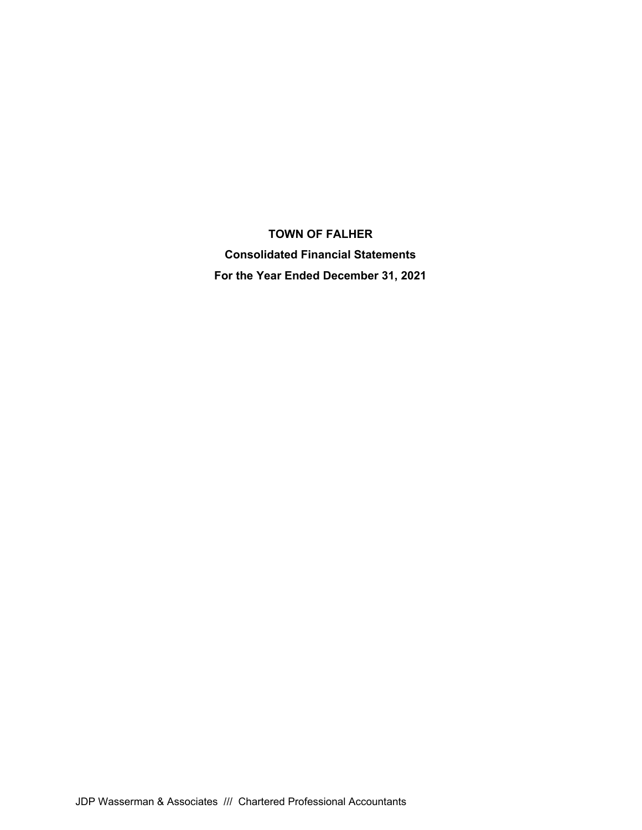**TOWN OF FALHER Consolidated Financial Statements For the Year Ended December 31, 2021**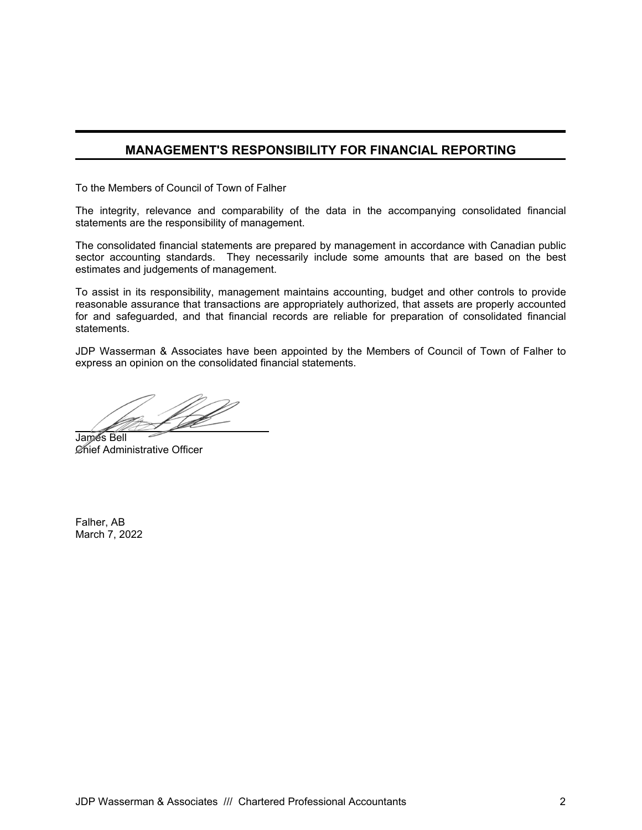# **MANAGEMENT'S RESPONSIBILITY FOR FINANCIAL REPORTING**

To the Members of Council of Town of Falher

The integrity, relevance and comparability of the data in the accompanying consolidated financial statements are the responsibility of management.

The consolidated financial statements are prepared by management in accordance with Canadian public sector accounting standards. They necessarily include some amounts that are based on the best estimates and judgements of management.

To assist in its responsibility, management maintains accounting, budget and other controls to provide reasonable assurance that transactions are appropriately authorized, that assets are properly accounted for and safeguarded, and that financial records are reliable for preparation of consolidated financial statements.

JDP Wasserman & Associates have been appointed by the Members of Council of Town of Falher to express an opinion on the consolidated financial statements.

James Bell Chief Administrative Officer

Falher, AB March 7, 2022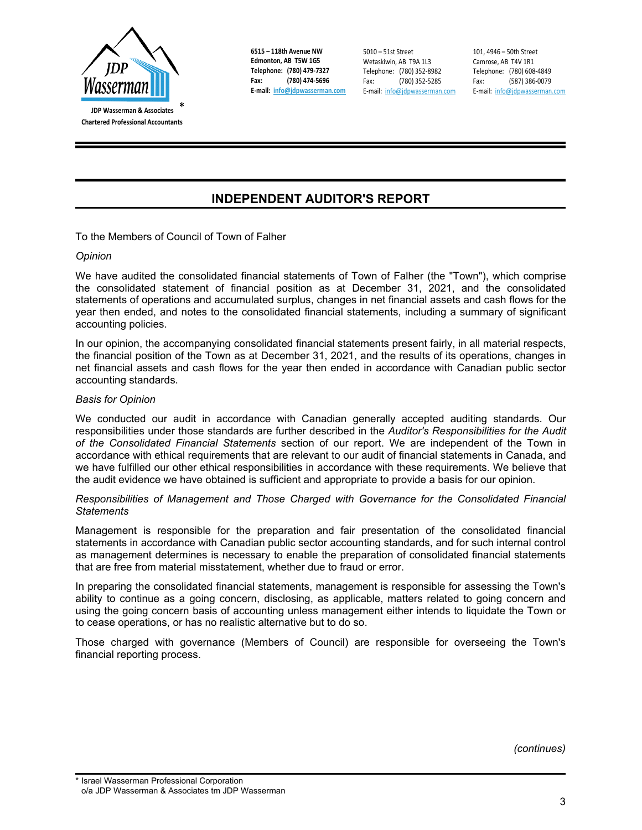

**6515 – 118th Avenue NW Edmonton, AB T5W 1G5 Telephone: (780) 479‐7327 Fax: (780) 474‐5696 E‐mail: info@jdpwasserman.com** 5010 – 51st Street Wetaskiwin, AB T9A 1L3 Telephone: (780) 352‐8982 Fax: (780) 352‐5285 E‐mail: info@jdpwasserman.com 101, 4946 – 50th Street Camrose, AB T4V 1R1 Telephone: (780) 608‐4849 Fax: (587) 386‐0079 E‐mail: info@jdpwasserman.com

# **INDEPENDENT AUDITOR'S REPORT**

To the Members of Council of Town of Falher

#### *Opinion*

We have audited the consolidated financial statements of Town of Falher (the "Town"), which comprise the consolidated statement of financial position as at December 31, 2021, and the consolidated statements of operations and accumulated surplus, changes in net financial assets and cash flows for the year then ended, and notes to the consolidated financial statements, including a summary of significant accounting policies.

In our opinion, the accompanying consolidated financial statements present fairly, in all material respects, the financial position of the Town as at December 31, 2021, and the results of its operations, changes in net financial assets and cash flows for the year then ended in accordance with Canadian public sector accounting standards.

#### *Basis for Opinion*

We conducted our audit in accordance with Canadian generally accepted auditing standards. Our responsibilities under those standards are further described in the *Auditor's Responsibilities for the Audit of the Consolidated Financial Statements* section of our report. We are independent of the Town in accordance with ethical requirements that are relevant to our audit of financial statements in Canada, and we have fulfilled our other ethical responsibilities in accordance with these requirements. We believe that the audit evidence we have obtained is sufficient and appropriate to provide a basis for our opinion.

#### *Responsibilities of Management and Those Charged with Governance for the Consolidated Financial Statements*

Management is responsible for the preparation and fair presentation of the consolidated financial statements in accordance with Canadian public sector accounting standards, and for such internal control as management determines is necessary to enable the preparation of consolidated financial statements that are free from material misstatement, whether due to fraud or error.

In preparing the consolidated financial statements, management is responsible for assessing the Town's ability to continue as a going concern, disclosing, as applicable, matters related to going concern and using the going concern basis of accounting unless management either intends to liquidate the Town or to cease operations, or has no realistic alternative but to do so.

Those charged with governance (Members of Council) are responsible for overseeing the Town's financial reporting process.

*(continues)*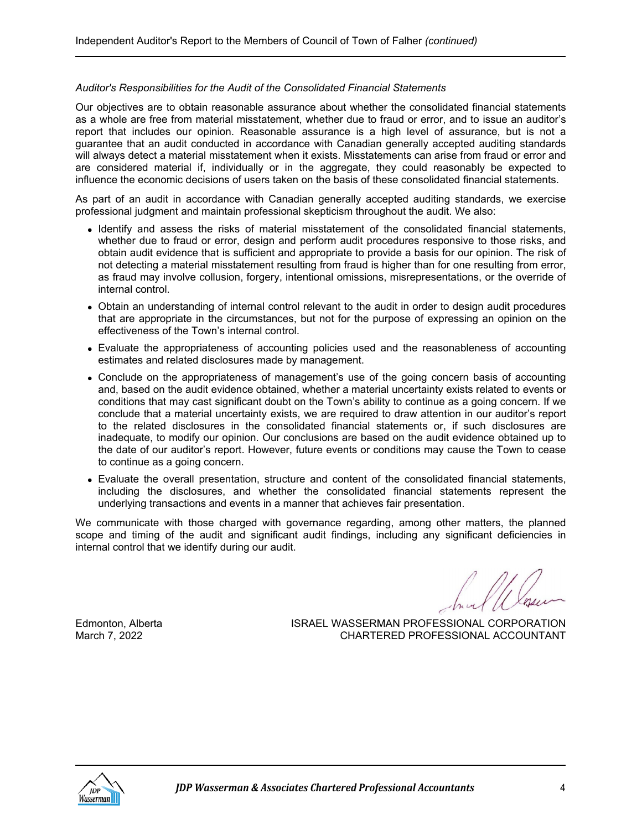#### *Auditor's Responsibilities for the Audit of the Consolidated Financial Statements*

Our objectives are to obtain reasonable assurance about whether the consolidated financial statements as a whole are free from material misstatement, whether due to fraud or error, and to issue an auditor's report that includes our opinion. Reasonable assurance is a high level of assurance, but is not a guarantee that an audit conducted in accordance with Canadian generally accepted auditing standards will always detect a material misstatement when it exists. Misstatements can arise from fraud or error and are considered material if, individually or in the aggregate, they could reasonably be expected to influence the economic decisions of users taken on the basis of these consolidated financial statements.

As part of an audit in accordance with Canadian generally accepted auditing standards, we exercise professional judgment and maintain professional skepticism throughout the audit. We also:

- Identify and assess the risks of material misstatement of the consolidated financial statements, whether due to fraud or error, design and perform audit procedures responsive to those risks, and obtain audit evidence that is sufficient and appropriate to provide a basis for our opinion. The risk of not detecting a material misstatement resulting from fraud is higher than for one resulting from error, as fraud may involve collusion, forgery, intentional omissions, misrepresentations, or the override of internal control.
- Obtain an understanding of internal control relevant to the audit in order to design audit procedures that are appropriate in the circumstances, but not for the purpose of expressing an opinion on the effectiveness of the Town's internal control.
- Evaluate the appropriateness of accounting policies used and the reasonableness of accounting estimates and related disclosures made by management.
- Conclude on the appropriateness of management's use of the going concern basis of accounting and, based on the audit evidence obtained, whether a material uncertainty exists related to events or conditions that may cast significant doubt on the Town's ability to continue as a going concern. If we conclude that a material uncertainty exists, we are required to draw attention in our auditor's report to the related disclosures in the consolidated financial statements or, if such disclosures are inadequate, to modify our opinion. Our conclusions are based on the audit evidence obtained up to the date of our auditor's report. However, future events or conditions may cause the Town to cease to continue as a going concern.
- Evaluate the overall presentation, structure and content of the consolidated financial statements, including the disclosures, and whether the consolidated financial statements represent the underlying transactions and events in a manner that achieves fair presentation.

We communicate with those charged with governance regarding, among other matters, the planned scope and timing of the audit and significant audit findings, including any significant deficiencies in internal control that we identify during our audit.

Edmonton, Alberta ISRAEL WASSERMAN PROFESSIONAL CORPORATION<br>CHARTERED PROFESSIONAL ACCOUNTANT CHARTERED PROFESSIONAL ACCOUNTANT

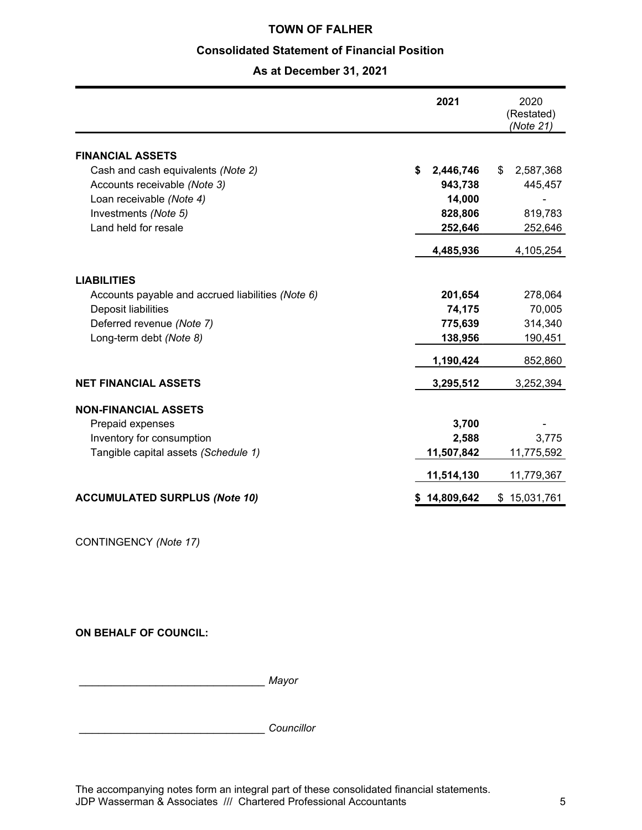## **Consolidated Statement of Financial Position**

# **As at December 31, 2021**

|                                                   | 2021            | 2020<br>(Restated)<br>(Note 21) |
|---------------------------------------------------|-----------------|---------------------------------|
| <b>FINANCIAL ASSETS</b>                           |                 |                                 |
| Cash and cash equivalents (Note 2)                | 2,446,746<br>\$ | \$<br>2,587,368                 |
| Accounts receivable (Note 3)                      | 943,738         | 445,457                         |
| Loan receivable (Note 4)                          | 14,000          |                                 |
| Investments (Note 5)                              | 828,806         | 819,783                         |
| Land held for resale                              | 252,646         | 252,646                         |
|                                                   | 4,485,936       | 4,105,254                       |
| <b>LIABILITIES</b>                                |                 |                                 |
| Accounts payable and accrued liabilities (Note 6) | 201,654         | 278,064                         |
| Deposit liabilities                               | 74,175          | 70,005                          |
| Deferred revenue (Note 7)                         | 775,639         | 314,340                         |
| Long-term debt (Note 8)                           | 138,956         | 190,451                         |
|                                                   | 1,190,424       | 852,860                         |
| <b>NET FINANCIAL ASSETS</b>                       | 3,295,512       | 3,252,394                       |
| <b>NON-FINANCIAL ASSETS</b>                       |                 |                                 |
| Prepaid expenses                                  | 3,700           |                                 |
| Inventory for consumption                         | 2,588           | 3,775                           |
| Tangible capital assets (Schedule 1)              | 11,507,842      | 11,775,592                      |
|                                                   | 11,514,130      | 11,779,367                      |
| <b>ACCUMULATED SURPLUS (Note 10)</b>              | 14,809,642      | \$15,031,761                    |
|                                                   |                 |                                 |

CONTINGENCY *(Note 17)*

**ON BEHALF OF COUNCIL:**

\_\_\_\_\_\_\_\_\_\_\_\_\_\_\_\_\_\_\_\_\_\_\_\_\_\_\_\_\_ *Mayor* 

\_\_\_\_\_\_\_\_\_\_\_\_\_\_\_\_\_\_\_\_\_\_\_\_\_\_\_\_\_ *Councillor*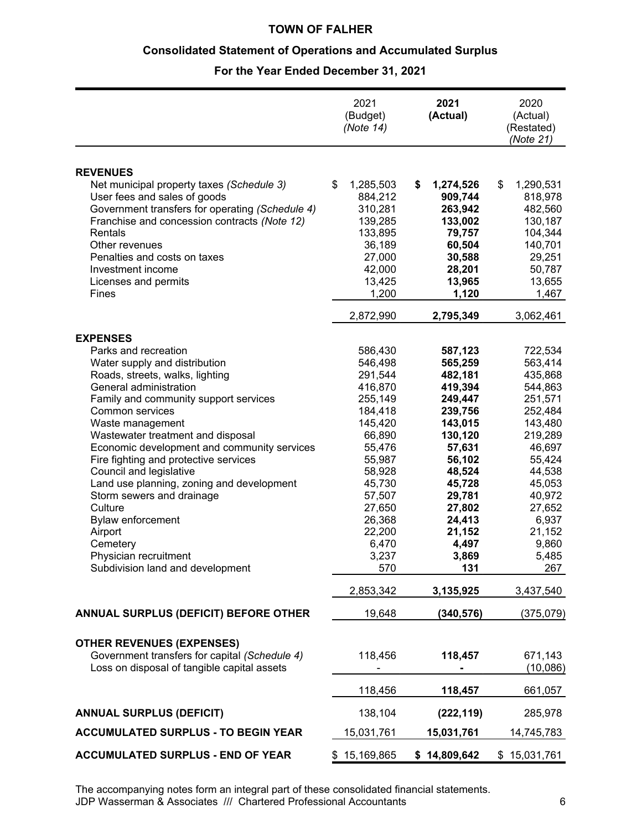# **Consolidated Statement of Operations and Accumulated Surplus**

# **For the Year Ended December 31, 2021**

|                                                 | 2021<br>(Budget)<br>(Note 14) | 2021<br>(Actual) | 2020<br>(Actual)<br>(Restated)<br>(Note 21) |
|-------------------------------------------------|-------------------------------|------------------|---------------------------------------------|
|                                                 |                               |                  |                                             |
| <b>REVENUES</b>                                 |                               |                  |                                             |
| Net municipal property taxes (Schedule 3)       | 1,285,503<br>\$               | \$<br>1,274,526  | \$<br>1,290,531                             |
| User fees and sales of goods                    | 884,212                       | 909,744          | 818,978                                     |
| Government transfers for operating (Schedule 4) | 310,281                       | 263,942          | 482,560                                     |
| Franchise and concession contracts (Note 12)    | 139,285                       | 133,002          | 130,187                                     |
| Rentals                                         | 133,895                       | 79,757           | 104,344                                     |
| Other revenues                                  | 36,189                        | 60,504           | 140,701                                     |
| Penalties and costs on taxes                    | 27,000                        | 30,588           | 29,251                                      |
| Investment income                               | 42,000                        | 28,201           | 50,787                                      |
| Licenses and permits                            | 13,425                        | 13,965           | 13,655                                      |
| Fines                                           | 1,200                         | 1,120            | 1,467                                       |
|                                                 | 2,872,990                     | 2,795,349        | 3,062,461                                   |
| <b>EXPENSES</b>                                 |                               |                  |                                             |
| Parks and recreation                            | 586,430                       | 587,123          | 722,534                                     |
| Water supply and distribution                   | 546,498                       | 565,259          | 563,414                                     |
| Roads, streets, walks, lighting                 | 291,544                       | 482,181          | 435,868                                     |
| General administration                          | 416,870                       | 419,394          | 544,863                                     |
| Family and community support services           | 255,149                       | 249,447          | 251,571                                     |
| Common services                                 | 184,418                       | 239,756          | 252,484                                     |
| Waste management                                | 145,420                       | 143,015          | 143,480                                     |
| Wastewater treatment and disposal               | 66,890                        | 130,120          | 219,289                                     |
| Economic development and community services     | 55,476                        | 57,631           | 46,697                                      |
| Fire fighting and protective services           | 55,987                        | 56,102           | 55,424                                      |
| Council and legislative                         | 58,928                        | 48,524           | 44,538                                      |
| Land use planning, zoning and development       | 45,730                        | 45,728           | 45,053                                      |
| Storm sewers and drainage                       | 57,507                        | 29,781           | 40,972                                      |
| Culture                                         | 27,650                        | 27,802           | 27,652                                      |
| Bylaw enforcement                               | 26,368                        | 24,413           | 6,937                                       |
| Airport                                         | 22,200                        | 21,152           | 21,152                                      |
| Cemetery                                        | 6,470                         | 4,497            | 9,860                                       |
| Physician recruitment                           | 3,237                         | 3,869            | 5,485                                       |
| Subdivision land and development                | 570                           | 131              | 267                                         |
|                                                 | 2,853,342                     | 3,135,925        | 3,437,540                                   |
| ANNUAL SURPLUS (DEFICIT) BEFORE OTHER           | 19,648                        | (340, 576)       | (375,079)                                   |
|                                                 |                               |                  |                                             |
| <b>OTHER REVENUES (EXPENSES)</b>                |                               |                  |                                             |
| Government transfers for capital (Schedule 4)   | 118,456                       | 118,457          | 671,143                                     |
| Loss on disposal of tangible capital assets     | $\overline{\phantom{0}}$      |                  | (10,086)                                    |
|                                                 | 118,456                       | 118,457          | 661,057                                     |
| <b>ANNUAL SURPLUS (DEFICIT)</b>                 | 138,104                       | (222, 119)       | 285,978                                     |
| <b>ACCUMULATED SURPLUS - TO BEGIN YEAR</b>      | 15,031,761                    | 15,031,761       | 14,745,783                                  |
| <b>ACCUMULATED SURPLUS - END OF YEAR</b>        | \$15,169,865                  | \$14,809,642     | \$15,031,761                                |
|                                                 |                               |                  |                                             |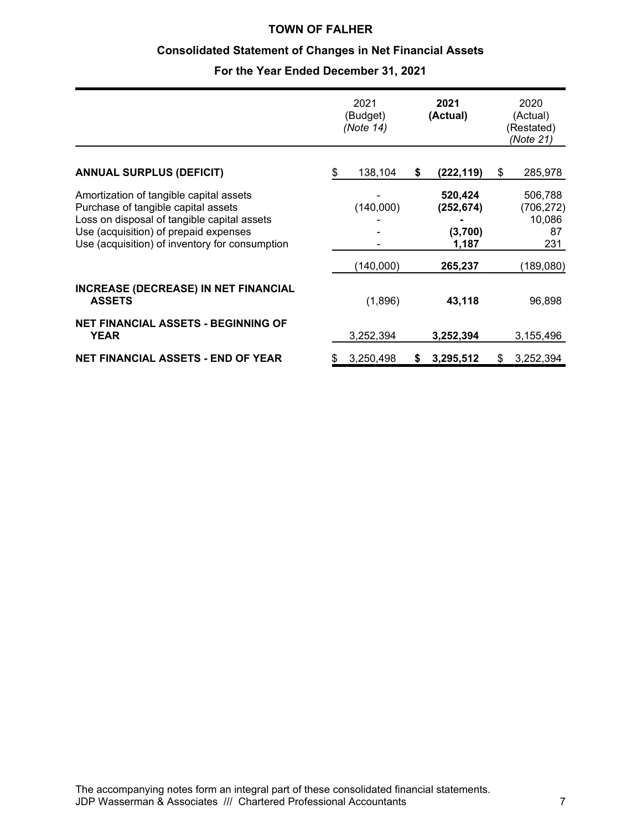# **Consolidated Statement of Changes in Net Financial Assets**

# **For the Year Ended December 31, 2021**

|                                                                                                                                                                                                                          | 2021<br>(Budget)<br>(Note 14) | 2021<br>(Actual)                          | 2020<br>(Actual)<br>(Restated)<br>(Note 21) |
|--------------------------------------------------------------------------------------------------------------------------------------------------------------------------------------------------------------------------|-------------------------------|-------------------------------------------|---------------------------------------------|
| <b>ANNUAL SURPLUS (DEFICIT)</b>                                                                                                                                                                                          | \$<br>138,104                 | \$<br>(222, 119)                          | \$<br>285,978                               |
| Amortization of tangible capital assets<br>Purchase of tangible capital assets<br>Loss on disposal of tangible capital assets<br>Use (acquisition) of prepaid expenses<br>Use (acquisition) of inventory for consumption | (140,000)                     | 520,424<br>(252, 674)<br>(3,700)<br>1,187 | 506,788<br>(706,272)<br>10,086<br>87<br>231 |
|                                                                                                                                                                                                                          | (140,000)                     | 265,237                                   | (189,080)                                   |
| <b>INCREASE (DECREASE) IN NET FINANCIAL</b><br><b>ASSETS</b>                                                                                                                                                             | (1,896)                       | 43,118                                    | 96,898                                      |
| <b>NET FINANCIAL ASSETS - BEGINNING OF</b><br><b>YEAR</b>                                                                                                                                                                | 3,252,394                     | 3,252,394                                 | 3,155,496                                   |
| <b>NET FINANCIAL ASSETS - END OF YEAR</b>                                                                                                                                                                                | \$<br>3,250,498               | \$<br>3,295,512                           | \$<br>3,252,394                             |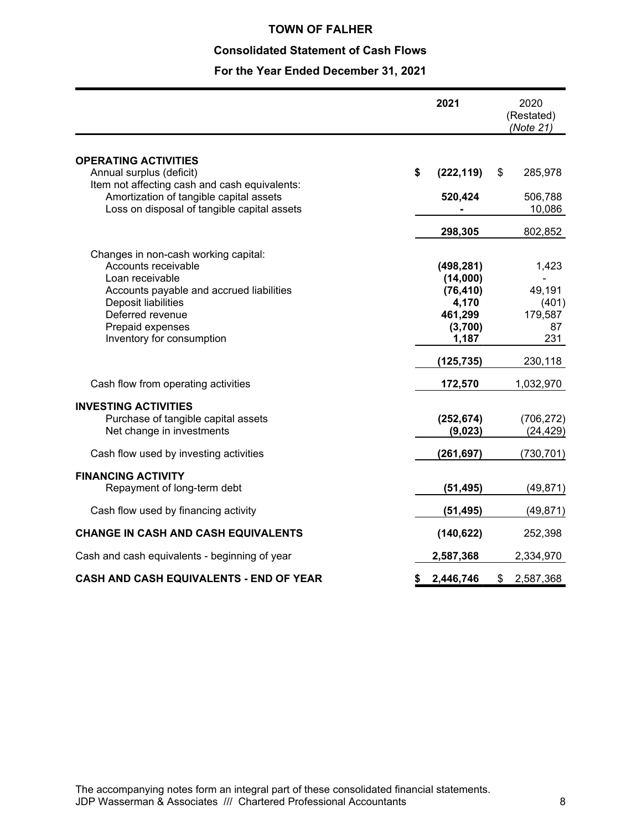# **Consolidated Statement of Cash Flows**

# **For the Year Ended December 31, 2021**

|                                                                                                                                                                                                                        |    | 2021                                                                                   | 2020<br>(Restated)<br>(Note 21)                             |
|------------------------------------------------------------------------------------------------------------------------------------------------------------------------------------------------------------------------|----|----------------------------------------------------------------------------------------|-------------------------------------------------------------|
| <b>OPERATING ACTIVITIES</b><br>Annual surplus (deficit)<br>Item not affecting cash and cash equivalents:<br>Amortization of tangible capital assets                                                                    | \$ | (222, 119)<br>520,424                                                                  | \$<br>285,978                                               |
| Loss on disposal of tangible capital assets                                                                                                                                                                            |    |                                                                                        | 506,788<br>10,086                                           |
| Changes in non-cash working capital:<br>Accounts receivable<br>Loan receivable<br>Accounts payable and accrued liabilities<br>Deposit liabilities<br>Deferred revenue<br>Prepaid expenses<br>Inventory for consumption |    | 298,305<br>(498, 281)<br>(14,000)<br>(76, 410)<br>4,170<br>461,299<br>(3,700)<br>1,187 | 802,852<br>1,423<br>49,191<br>(401)<br>179,587<br>87<br>231 |
| Cash flow from operating activities                                                                                                                                                                                    |    | (125, 735)<br>172,570                                                                  | 230,118<br>1,032,970                                        |
| <b>INVESTING ACTIVITIES</b><br>Purchase of tangible capital assets<br>Net change in investments                                                                                                                        |    | (252, 674)<br>(9,023)                                                                  | (706, 272)<br>(24, 429)                                     |
| Cash flow used by investing activities                                                                                                                                                                                 |    | (261, 697)                                                                             | (730, 701)                                                  |
| <b>FINANCING ACTIVITY</b><br>Repayment of long-term debt                                                                                                                                                               |    | (51, 495)                                                                              | (49, 871)                                                   |
| Cash flow used by financing activity                                                                                                                                                                                   |    | (51, 495)                                                                              | (49, 871)                                                   |
| <b>CHANGE IN CASH AND CASH EQUIVALENTS</b>                                                                                                                                                                             |    | (140, 622)                                                                             | 252,398                                                     |
| Cash and cash equivalents - beginning of year                                                                                                                                                                          |    | 2,587,368                                                                              | 2,334,970                                                   |
| CASH AND CASH EQUIVALENTS - END OF YEAR                                                                                                                                                                                | 5  | 2,446,746                                                                              | \$<br>2,587,368                                             |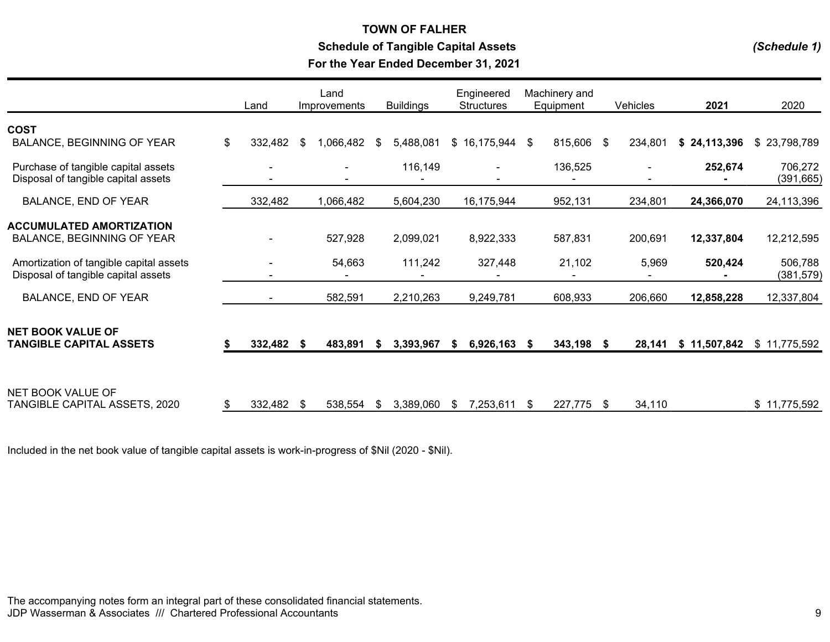# **TOWN OF FALHER Schedule of Tangible Capital Assets** *(Schedule 1)* **For the Year Ended December 31, 2021**

|                                                                                | Land          | Land<br>Improvements               |     | <b>Buildings</b> |     | Engineered<br><b>Structures</b> |      | Machinery and<br>Equipment | Vehicles     | 2021         | 2020                  |
|--------------------------------------------------------------------------------|---------------|------------------------------------|-----|------------------|-----|---------------------------------|------|----------------------------|--------------|--------------|-----------------------|
| <b>COST</b><br><b>BALANCE, BEGINNING OF YEAR</b>                               | \$<br>332,482 | \$<br>1,066,482                    | S   | 5,488,081        |     | $$16,175,944$ \$                |      | 815,606 \$                 | 234,801      | \$24,113,396 | \$23,798,789          |
| Purchase of tangible capital assets<br>Disposal of tangible capital assets     |               |                                    |     | 116,149          |     | $\blacksquare$                  |      | 136,525                    |              | 252,674      | 706,272<br>(391, 665) |
| <b>BALANCE, END OF YEAR</b>                                                    | 332,482       | 1,066,482                          |     | 5,604,230        |     | 16,175,944                      |      | 952,131                    | 234,801      | 24,366,070   | 24,113,396            |
| <b>ACCUMULATED AMORTIZATION</b><br>BALANCE, BEGINNING OF YEAR                  |               | 527,928                            |     | 2,099,021        |     | 8,922,333                       |      | 587,831                    | 200,691      | 12,337,804   | 12,212,595            |
| Amortization of tangible capital assets<br>Disposal of tangible capital assets |               | 54,663<br>$\overline{\phantom{0}}$ |     | 111,242          |     | 327,448                         |      | 21,102                     | 5,969        | 520,424      | 506,788<br>(381, 579) |
| <b>BALANCE, END OF YEAR</b>                                                    |               | 582,591                            |     | 2,210,263        |     | 9,249,781                       |      | 608,933                    | 206,660      | 12,858,228   | 12,337,804            |
| <b>NET BOOK VALUE OF</b><br><b>TANGIBLE CAPITAL ASSETS</b>                     | 332,482       | \$<br>483,891                      | S.  | 3,393,967        | S.  | 6,926,163                       | - \$ | 343,198 \$                 | 28,141       | \$11,507,842 | \$11,775,592          |
| NET BOOK VALUE OF<br>TANGIBLE CAPITAL ASSETS, 2020                             | \$<br>332,482 | \$<br>538,554                      | \$. | 3,389,060        | \$. | 7,253,611                       | S.   | 227,775                    | \$<br>34,110 |              | \$11,775,592          |

Included in the net book value of tangible capital assets is work-in-progress of \$Nil (2020 - \$Nil).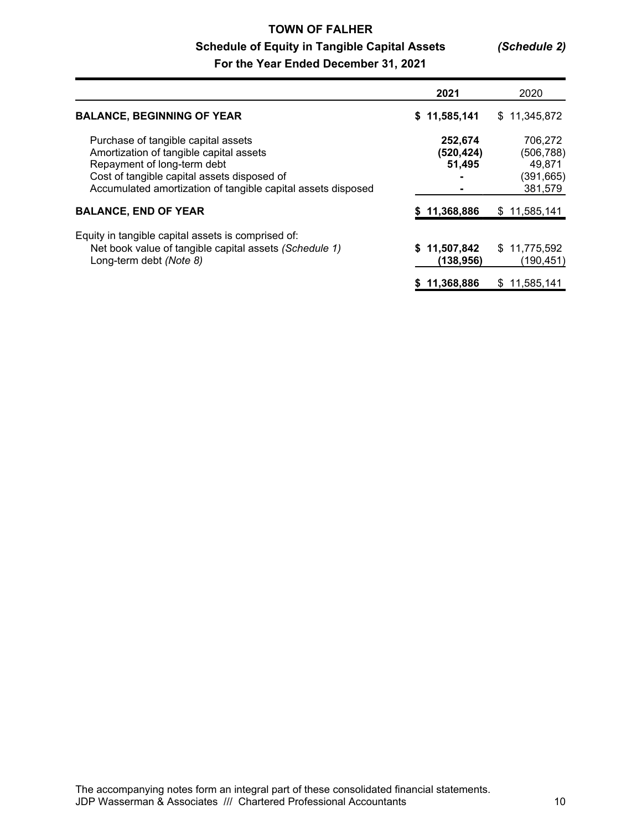# **TOWN OF FALHER Schedule of Equity in Tangible Capital Assets** *(Schedule 2)* **For the Year Ended December 31, 2021**

|                                                                                                                                                                                                                              | 2021                           | 2020                                                     |
|------------------------------------------------------------------------------------------------------------------------------------------------------------------------------------------------------------------------------|--------------------------------|----------------------------------------------------------|
| <b>BALANCE, BEGINNING OF YEAR</b>                                                                                                                                                                                            | \$11,585,141                   | \$11,345,872                                             |
| Purchase of tangible capital assets<br>Amortization of tangible capital assets<br>Repayment of long-term debt<br>Cost of tangible capital assets disposed of<br>Accumulated amortization of tangible capital assets disposed | 252,674<br>(520,424)<br>51,495 | 706,272<br>(506, 788)<br>49,871<br>(391, 665)<br>381,579 |
| <b>BALANCE, END OF YEAR</b>                                                                                                                                                                                                  | \$11,368,886                   | \$11,585,141                                             |
| Equity in tangible capital assets is comprised of:<br>Net book value of tangible capital assets (Schedule 1)<br>Long-term debt (Note 8)                                                                                      | \$11,507,842<br>(138,956)      | \$11,775,592<br>(190,451)                                |
|                                                                                                                                                                                                                              | \$11,368,886                   | \$11,585,141                                             |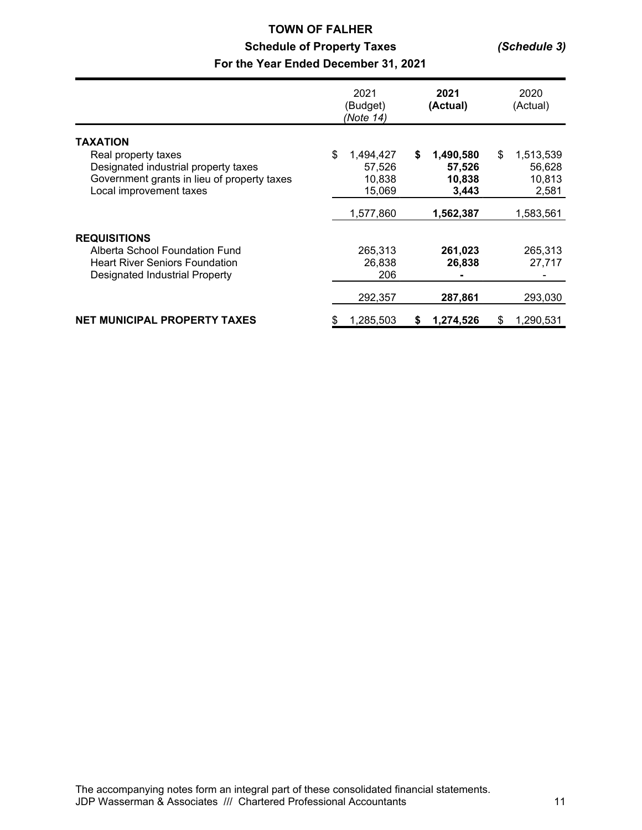# **TOWN OF FALHER Schedule of Property Taxes** *(Schedule 3)* **For the Year Ended December 31, 2021**

|                                                             | 2021<br>(Budget)<br>(Note 14) |                     | 2021<br>(Actual) |                     | 2020<br>(Actual)          |
|-------------------------------------------------------------|-------------------------------|---------------------|------------------|---------------------|---------------------------|
| TAXATION                                                    |                               |                     |                  |                     |                           |
| Real property taxes<br>Designated industrial property taxes | \$                            | 1,494,427<br>57,526 | S                | 1,490,580<br>57,526 | \$<br>1,513,539<br>56,628 |
| Government grants in lieu of property taxes                 |                               | 10,838              |                  | 10,838              | 10,813                    |
| Local improvement taxes                                     |                               | 15,069              |                  | 3,443               | 2,581                     |
|                                                             |                               | 1,577,860           |                  | 1,562,387           | 1,583,561                 |
| <b>REQUISITIONS</b>                                         |                               |                     |                  |                     |                           |
| Alberta School Foundation Fund                              |                               | 265,313             |                  | 261,023             | 265,313                   |
| <b>Heart River Seniors Foundation</b>                       |                               | 26,838              |                  | 26,838              | 27,717                    |
| <b>Designated Industrial Property</b>                       |                               | 206                 |                  |                     |                           |
|                                                             |                               | 292,357             |                  | 287,861             | 293,030                   |
| <b>NET MUNICIPAL PROPERTY TAXES</b>                         |                               | 1,285,503           | S                | 1,274,526           | \$<br>1,290,531           |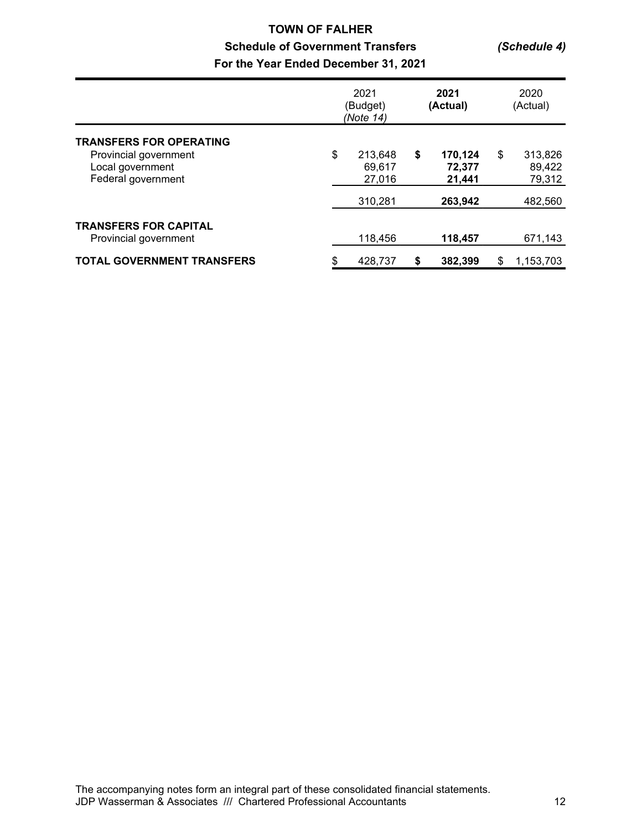# **TOWN OF FALHER Schedule of Government Transfers** *(Schedule 4)* **For the Year Ended December 31, 2021**

|                                                                             | 2021<br>(Budget)<br>(Note 14) |                   | 2021<br>(Actual)        | 2020<br>(Actual) |                   |  |
|-----------------------------------------------------------------------------|-------------------------------|-------------------|-------------------------|------------------|-------------------|--|
| <b>TRANSFERS FOR OPERATING</b><br>Provincial government<br>Local government | \$                            | 213,648<br>69,617 | \$<br>170,124<br>72,377 | \$               | 313,826<br>89,422 |  |
| Federal government                                                          |                               | 27,016            | 21,441                  |                  | 79,312            |  |
|                                                                             |                               | 310,281           | 263,942                 |                  | 482,560           |  |
| <b>TRANSFERS FOR CAPITAL</b><br>Provincial government                       |                               | 118,456           | 118,457                 |                  | 671,143           |  |
| <b>TOTAL GOVERNMENT TRANSFERS</b>                                           | \$                            | 428,737           | \$<br>382,399           | S                | 1,153,703         |  |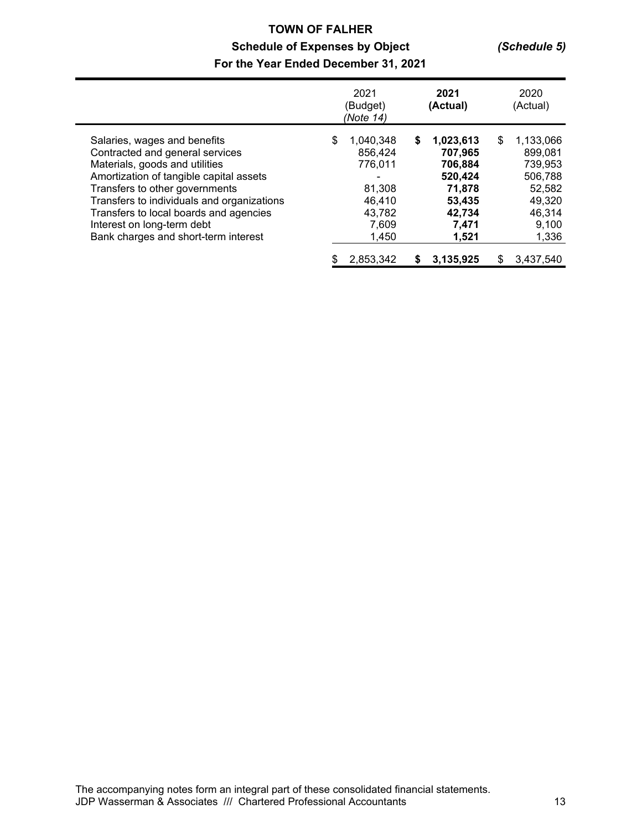# **TOWN OF FALHER Schedule of Expenses by Object** *(Schedule 5)* **For the Year Ended December 31, 2021**

|                                                                                                                                                                                                                                                                                                                                              | 2021<br>(Budget)<br>(Note 14)                                                         | 2021<br>(Actual)                                                                                 |    | 2020<br>(Actual)                                                                           |
|----------------------------------------------------------------------------------------------------------------------------------------------------------------------------------------------------------------------------------------------------------------------------------------------------------------------------------------------|---------------------------------------------------------------------------------------|--------------------------------------------------------------------------------------------------|----|--------------------------------------------------------------------------------------------|
| Salaries, wages and benefits<br>Contracted and general services<br>Materials, goods and utilities<br>Amortization of tangible capital assets<br>Transfers to other governments<br>Transfers to individuals and organizations<br>Transfers to local boards and agencies<br>Interest on long-term debt<br>Bank charges and short-term interest | \$<br>1,040,348<br>856,424<br>776,011<br>81,308<br>46,410<br>43,782<br>7,609<br>1,450 | \$<br>1,023,613<br>707,965<br>706,884<br>520,424<br>71,878<br>53,435<br>42,734<br>7.471<br>1,521 | \$ | 1,133,066<br>899,081<br>739,953<br>506,788<br>52,582<br>49,320<br>46,314<br>9,100<br>1,336 |
|                                                                                                                                                                                                                                                                                                                                              | \$<br>2,853,342                                                                       | 3,135,925                                                                                        | S  | 3,437,540                                                                                  |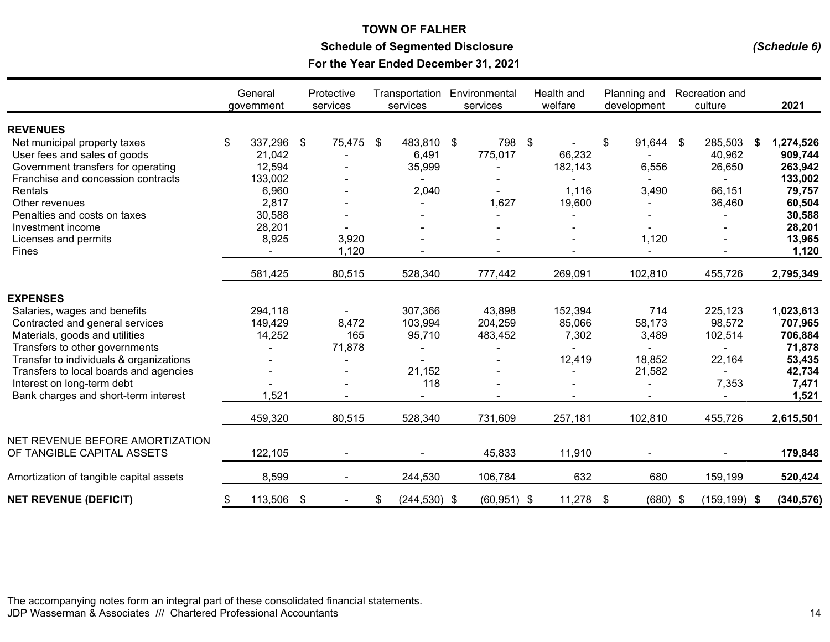# **TOWN OF FALHER Schedule of Segmented Disclosure** *(Schedule 6)* **For the Year Ended December 31, 2021**

|                                                               | General<br>government | Protective<br>services |        | Transportation Environmental<br>services |                 | services |                | Health and<br>welfare |           | development |            | Planning and Recreation and<br>culture |                 | 2021 |            |
|---------------------------------------------------------------|-----------------------|------------------------|--------|------------------------------------------|-----------------|----------|----------------|-----------------------|-----------|-------------|------------|----------------------------------------|-----------------|------|------------|
| <b>REVENUES</b>                                               |                       |                        |        |                                          |                 |          |                |                       |           |             |            |                                        |                 |      |            |
| Net municipal property taxes                                  | \$<br>337,296         | $\sqrt[6]{3}$          | 75,475 | $\boldsymbol{\mathcal{F}}$               | 483,810         | \$       | 798            | \$                    |           | \$          | 91,644 \$  |                                        | 285,503         | \$   | 1,274,526  |
| User fees and sales of goods                                  | 21,042                |                        |        |                                          | 6,491           |          | 775,017        |                       | 66,232    |             |            |                                        | 40,962          |      | 909,744    |
| Government transfers for operating                            | 12,594                |                        |        |                                          | 35,999          |          |                |                       | 182,143   |             | 6,556      |                                        | 26,650          |      | 263,942    |
| Franchise and concession contracts                            | 133,002               |                        |        |                                          |                 |          |                |                       |           |             |            |                                        |                 |      | 133,002    |
| <b>Rentals</b>                                                | 6,960                 |                        |        |                                          | 2,040           |          |                |                       | 1,116     |             | 3,490      |                                        | 66,151          |      | 79,757     |
| Other revenues                                                | 2,817                 |                        |        |                                          |                 |          | 1,627          |                       | 19,600    |             |            |                                        | 36,460          |      | 60,504     |
| Penalties and costs on taxes                                  | 30,588                |                        |        |                                          |                 |          |                |                       |           |             |            |                                        |                 |      | 30,588     |
| Investment income                                             | 28,201                |                        |        |                                          |                 |          |                |                       |           |             |            |                                        |                 |      | 28,201     |
| Licenses and permits                                          | 8,925                 |                        | 3,920  |                                          |                 |          |                |                       |           |             | 1,120      |                                        |                 |      | 13,965     |
| Fines                                                         |                       |                        | 1,120  |                                          |                 |          |                |                       |           |             |            |                                        |                 |      | 1,120      |
|                                                               | 581,425               |                        | 80,515 |                                          | 528,340         |          | 777,442        |                       | 269,091   |             | 102,810    |                                        | 455,726         |      | 2,795,349  |
| <b>EXPENSES</b>                                               |                       |                        |        |                                          |                 |          |                |                       |           |             |            |                                        |                 |      |            |
| Salaries, wages and benefits                                  | 294,118               |                        |        |                                          | 307,366         |          | 43,898         |                       | 152,394   |             | 714        |                                        | 225,123         |      | 1,023,613  |
| Contracted and general services                               | 149,429               |                        | 8,472  |                                          | 103,994         |          | 204,259        |                       | 85,066    |             | 58,173     |                                        | 98,572          |      | 707,965    |
| Materials, goods and utilities                                | 14,252                |                        | 165    |                                          | 95,710          |          | 483,452        |                       | 7,302     |             | 3,489      |                                        | 102,514         |      | 706,884    |
| Transfers to other governments                                |                       |                        | 71,878 |                                          |                 |          |                |                       |           |             |            |                                        |                 |      | 71,878     |
| Transfer to individuals & organizations                       |                       |                        |        |                                          |                 |          |                |                       | 12,419    |             | 18,852     |                                        | 22,164          |      | 53,435     |
| Transfers to local boards and agencies                        |                       |                        |        |                                          | 21,152          |          |                |                       |           |             | 21,582     |                                        |                 |      | 42,734     |
| Interest on long-term debt                                    |                       |                        |        |                                          | 118             |          | $\blacksquare$ |                       |           |             |            |                                        | 7,353           |      | 7,471      |
| Bank charges and short-term interest                          | 1,521                 |                        |        |                                          |                 |          |                |                       |           |             |            |                                        |                 |      | 1,521      |
|                                                               | 459,320               |                        | 80,515 |                                          | 528,340         |          | 731,609        |                       | 257,181   |             | 102,810    |                                        | 455,726         |      | 2,615,501  |
| NET REVENUE BEFORE AMORTIZATION<br>OF TANGIBLE CAPITAL ASSETS | 122,105               |                        |        |                                          |                 |          | 45,833         |                       | 11,910    |             |            |                                        |                 |      | 179,848    |
| Amortization of tangible capital assets                       | 8,599                 |                        |        |                                          | 244,530         |          | 106,784        |                       | 632       |             | 680        |                                        | 159,199         |      | 520,424    |
| <b>NET REVENUE (DEFICIT)</b>                                  | \$<br>113,506         | \$                     |        | \$                                       | $(244, 530)$ \$ |          | $(60, 951)$ \$ |                       | 11,278 \$ |             | $(680)$ \$ |                                        | $(159, 199)$ \$ |      | (340, 576) |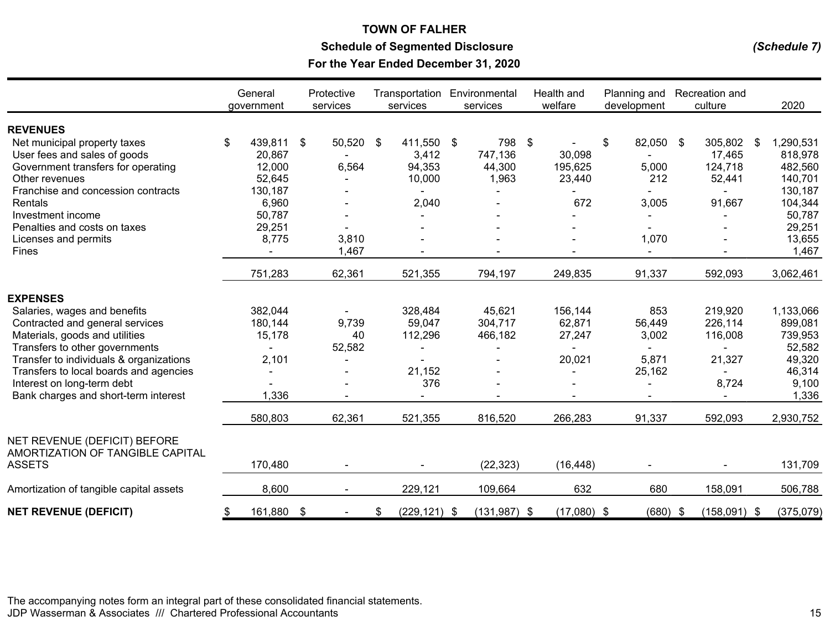# **TOWN OF FALHER Schedule of Segmented Disclosure** *(Schedule 7)* **For the Year Ended December 31, 2020**

|                                                   | General<br>government | Protective<br>services | services              | Transportation Environmental<br>services | Health and<br>welfare | Planning and<br>development | Recreation and<br>culture | 2020              |
|---------------------------------------------------|-----------------------|------------------------|-----------------------|------------------------------------------|-----------------------|-----------------------------|---------------------------|-------------------|
| <b>REVENUES</b>                                   |                       |                        |                       |                                          |                       |                             |                           |                   |
| Net municipal property taxes                      | \$<br>439,811         | \$<br>50,520 \$        | 411,550               | \$<br>798                                | \$                    | \$<br>82,050 \$             | 305,802                   | 1,290,531<br>- \$ |
| User fees and sales of goods                      | 20,867                |                        | 3,412                 | 747,136                                  | 30,098                |                             | 17,465                    | 818,978           |
| Government transfers for operating                | 12,000                | 6,564                  | 94,353                | 44,300                                   | 195,625               | 5,000                       | 124,718                   | 482,560           |
| Other revenues                                    | 52,645                |                        | 10,000                | 1,963                                    | 23,440                | 212                         | 52,441                    | 140,701           |
| Franchise and concession contracts                | 130,187               |                        |                       |                                          |                       |                             | $\blacksquare$            | 130,187           |
| Rentals                                           | 6,960                 |                        | 2,040                 |                                          | 672                   | 3,005                       | 91,667                    | 104,344           |
| Investment income                                 | 50,787                |                        | $\sim$                |                                          |                       |                             |                           | 50,787            |
| Penalties and costs on taxes                      | 29,251                |                        |                       |                                          |                       |                             |                           | 29,251            |
| Licenses and permits                              | 8,775                 | 3,810                  |                       |                                          |                       | 1,070                       |                           | 13,655            |
| <b>Fines</b>                                      |                       | 1,467                  |                       |                                          |                       |                             |                           | 1,467             |
|                                                   | 751,283               | 62,361                 | 521,355               | 794,197                                  | 249,835               | 91,337                      | 592,093                   | 3,062,461         |
| <b>EXPENSES</b>                                   |                       |                        |                       |                                          |                       |                             |                           |                   |
| Salaries, wages and benefits                      | 382,044               |                        | 328,484               | 45,621                                   | 156,144               | 853                         | 219,920                   | 1,133,066         |
| Contracted and general services                   | 180,144               | 9,739                  | 59,047                | 304,717                                  | 62,871                | 56,449                      | 226,114                   | 899,081           |
| Materials, goods and utilities                    | 15,178                | 40                     | 112,296               | 466,182                                  | 27,247                | 3,002                       | 116,008                   | 739,953           |
| Transfers to other governments                    |                       | 52,582                 |                       |                                          |                       |                             |                           | 52,582            |
| Transfer to individuals & organizations           | 2,101                 |                        |                       |                                          | 20,021                | 5,871                       | 21,327                    | 49,320            |
| Transfers to local boards and agencies            |                       |                        | 21,152                |                                          | $\blacksquare$        | 25,162                      |                           | 46,314            |
| Interest on long-term debt                        |                       |                        | 376                   |                                          |                       |                             | 8,724                     | 9,100             |
| Bank charges and short-term interest              | 1,336                 |                        |                       |                                          |                       |                             |                           | 1,336             |
|                                                   | 580,803               | 62,361                 | 521,355               | 816,520                                  | 266,283               | 91,337                      | 592,093                   | 2,930,752         |
| NET REVENUE (DEFICIT) BEFORE                      |                       |                        |                       |                                          |                       |                             |                           |                   |
| AMORTIZATION OF TANGIBLE CAPITAL<br><b>ASSETS</b> | 170,480               |                        |                       | (22, 323)                                | (16, 448)             |                             |                           | 131,709           |
| Amortization of tangible capital assets           | 8,600                 |                        | 229,121               | 109,664                                  | 632                   | 680                         | 158,091                   | 506,788           |
| <b>NET REVENUE (DEFICIT)</b>                      | 161,880<br>\$         | \$                     | $(229, 121)$ \$<br>\$ | $(131, 987)$ \$                          | $(17,080)$ \$         | $(680)$ \$                  | $(158,091)$ \$            | (375,079)         |

The accompanying notes form an integral part of these consolidated financial statements.

JDP Wasserman & Associates /// Chartered Professional Accountants 15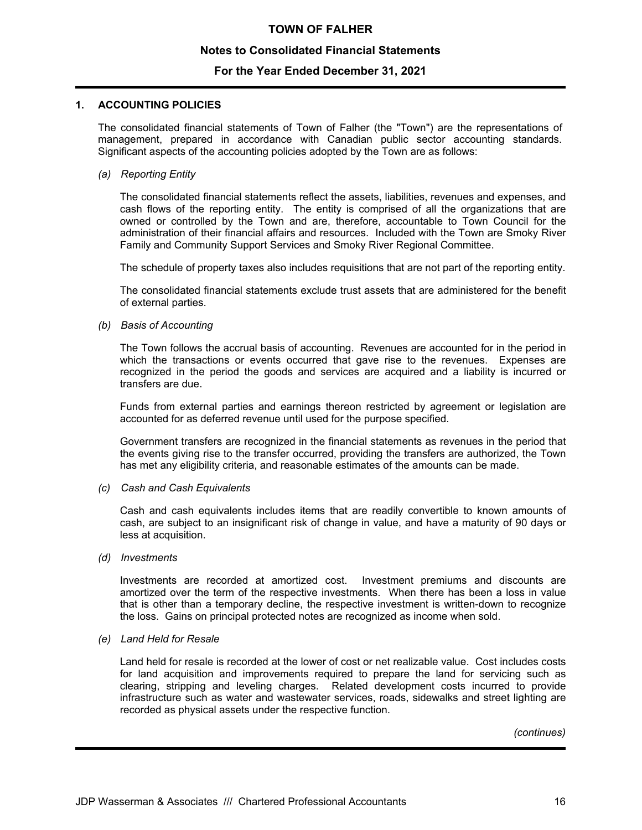#### **Notes to Consolidated Financial Statements**

### **For the Year Ended December 31, 2021**

#### **1. ACCOUNTING POLICIES**

The consolidated financial statements of Town of Falher (the "Town") are the representations of management, prepared in accordance with Canadian public sector accounting standards. Significant aspects of the accounting policies adopted by the Town are as follows:

#### *(a) Reporting Entity*

The consolidated financial statements reflect the assets, liabilities, revenues and expenses, and cash flows of the reporting entity. The entity is comprised of all the organizations that are owned or controlled by the Town and are, therefore, accountable to Town Council for the administration of their financial affairs and resources. Included with the Town are Smoky River Family and Community Support Services and Smoky River Regional Committee.

The schedule of property taxes also includes requisitions that are not part of the reporting entity.

The consolidated financial statements exclude trust assets that are administered for the benefit of external parties.

#### *(b) Basis of Accounting*

The Town follows the accrual basis of accounting. Revenues are accounted for in the period in which the transactions or events occurred that gave rise to the revenues. Expenses are recognized in the period the goods and services are acquired and a liability is incurred or transfers are due.

Funds from external parties and earnings thereon restricted by agreement or legislation are accounted for as deferred revenue until used for the purpose specified.

Government transfers are recognized in the financial statements as revenues in the period that the events giving rise to the transfer occurred, providing the transfers are authorized, the Town has met any eligibility criteria, and reasonable estimates of the amounts can be made.

#### *(c) Cash and Cash Equivalents*

Cash and cash equivalents includes items that are readily convertible to known amounts of cash, are subject to an insignificant risk of change in value, and have a maturity of 90 days or less at acquisition.

*(d) Investments* 

Investments are recorded at amortized cost. Investment premiums and discounts are amortized over the term of the respective investments. When there has been a loss in value that is other than a temporary decline, the respective investment is written-down to recognize the loss. Gains on principal protected notes are recognized as income when sold.

#### *(e) Land Held for Resale*

Land held for resale is recorded at the lower of cost or net realizable value. Cost includes costs for land acquisition and improvements required to prepare the land for servicing such as clearing, stripping and leveling charges. Related development costs incurred to provide infrastructure such as water and wastewater services, roads, sidewalks and street lighting are recorded as physical assets under the respective function.

*(continues)*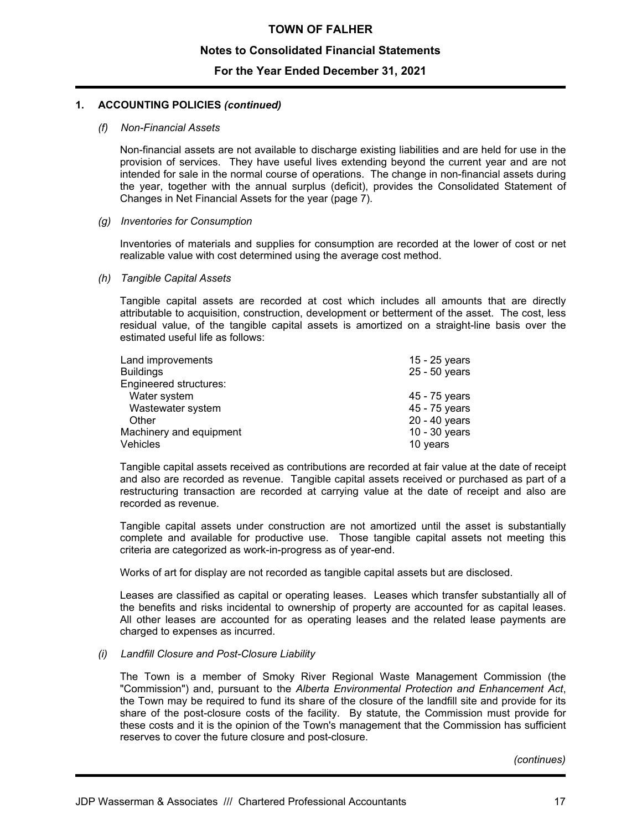## **Notes to Consolidated Financial Statements**

# **For the Year Ended December 31, 2021**

#### **1. ACCOUNTING POLICIES** *(continued)*

#### *(f) Non-Financial Assets*

Non-financial assets are not available to discharge existing liabilities and are held for use in the provision of services. They have useful lives extending beyond the current year and are not intended for sale in the normal course of operations. The change in non-financial assets during the year, together with the annual surplus (deficit), provides the Consolidated Statement of Changes in Net Financial Assets for the year (page 7).

#### *(g) Inventories for Consumption*

Inventories of materials and supplies for consumption are recorded at the lower of cost or net realizable value with cost determined using the average cost method.

#### *(h) Tangible Capital Assets*

Tangible capital assets are recorded at cost which includes all amounts that are directly attributable to acquisition, construction, development or betterment of the asset. The cost, less residual value, of the tangible capital assets is amortized on a straight-line basis over the estimated useful life as follows:

| Land improvements       | 15 - 25 years   |
|-------------------------|-----------------|
| <b>Buildings</b>        | 25 - 50 years   |
| Engineered structures:  |                 |
| Water system            | 45 - 75 years   |
| Wastewater system       | 45 - 75 years   |
| Other                   | 20 - 40 years   |
| Machinery and equipment | $10 - 30$ years |
| Vehicles                | 10 years        |

Tangible capital assets received as contributions are recorded at fair value at the date of receipt and also are recorded as revenue. Tangible capital assets received or purchased as part of a restructuring transaction are recorded at carrying value at the date of receipt and also are recorded as revenue.

Tangible capital assets under construction are not amortized until the asset is substantially complete and available for productive use. Those tangible capital assets not meeting this criteria are categorized as work-in-progress as of year-end.

Works of art for display are not recorded as tangible capital assets but are disclosed.

Leases are classified as capital or operating leases. Leases which transfer substantially all of the benefits and risks incidental to ownership of property are accounted for as capital leases. All other leases are accounted for as operating leases and the related lease payments are charged to expenses as incurred.

#### *(i) Landfill Closure and Post-Closure Liability*

The Town is a member of Smoky River Regional Waste Management Commission (the "Commission") and, pursuant to the *Alberta Environmental Protection and Enhancement Act*, the Town may be required to fund its share of the closure of the landfill site and provide for its share of the post-closure costs of the facility. By statute, the Commission must provide for these costs and it is the opinion of the Town's management that the Commission has sufficient reserves to cover the future closure and post-closure.

*(continues)*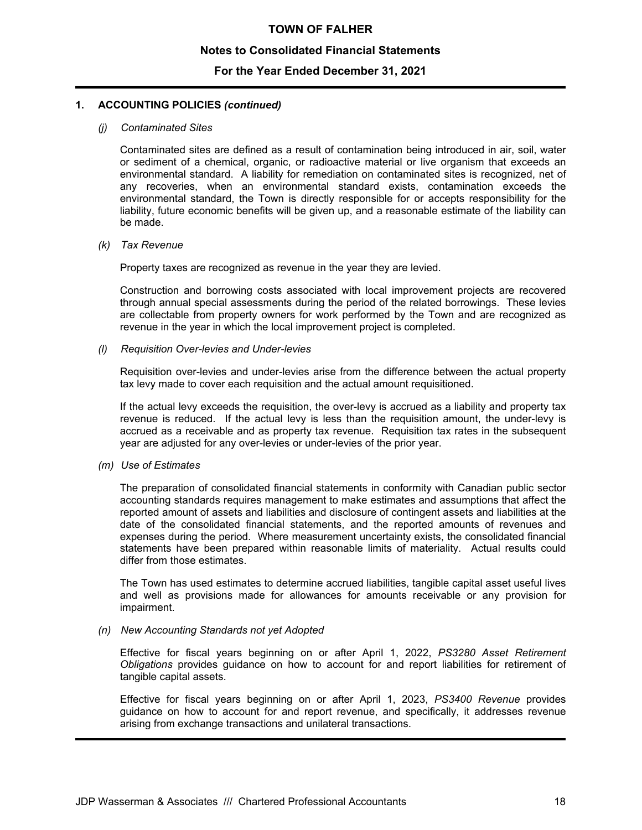#### **Notes to Consolidated Financial Statements**

### **For the Year Ended December 31, 2021**

#### **1. ACCOUNTING POLICIES** *(continued)*

#### *(j) Contaminated Sites*

Contaminated sites are defined as a result of contamination being introduced in air, soil, water or sediment of a chemical, organic, or radioactive material or live organism that exceeds an environmental standard. A liability for remediation on contaminated sites is recognized, net of any recoveries, when an environmental standard exists, contamination exceeds the environmental standard, the Town is directly responsible for or accepts responsibility for the liability, future economic benefits will be given up, and a reasonable estimate of the liability can be made.

#### *(k) Tax Revenue*

Property taxes are recognized as revenue in the year they are levied.

Construction and borrowing costs associated with local improvement projects are recovered through annual special assessments during the period of the related borrowings. These levies are collectable from property owners for work performed by the Town and are recognized as revenue in the year in which the local improvement project is completed.

#### *(l) Requisition Over-levies and Under-levies*

Requisition over-levies and under-levies arise from the difference between the actual property tax levy made to cover each requisition and the actual amount requisitioned.

If the actual levy exceeds the requisition, the over-levy is accrued as a liability and property tax revenue is reduced. If the actual levy is less than the requisition amount, the under-levy is accrued as a receivable and as property tax revenue. Requisition tax rates in the subsequent year are adjusted for any over-levies or under-levies of the prior year.

#### *(m) Use of Estimates*

The preparation of consolidated financial statements in conformity with Canadian public sector accounting standards requires management to make estimates and assumptions that affect the reported amount of assets and liabilities and disclosure of contingent assets and liabilities at the date of the consolidated financial statements, and the reported amounts of revenues and expenses during the period. Where measurement uncertainty exists, the consolidated financial statements have been prepared within reasonable limits of materiality. Actual results could differ from those estimates.

The Town has used estimates to determine accrued liabilities, tangible capital asset useful lives and well as provisions made for allowances for amounts receivable or any provision for impairment.

#### *(n) New Accounting Standards not yet Adopted*

Effective for fiscal years beginning on or after April 1, 2022, *PS3280 Asset Retirement Obligations* provides guidance on how to account for and report liabilities for retirement of tangible capital assets.

Effective for fiscal years beginning on or after April 1, 2023, *PS3400 Revenue* provides guidance on how to account for and report revenue, and specifically, it addresses revenue arising from exchange transactions and unilateral transactions.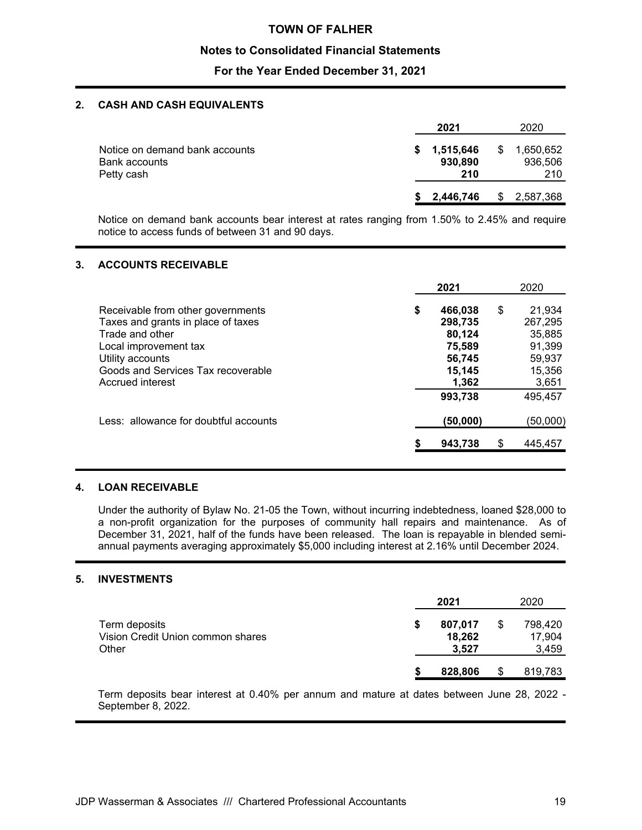#### **Notes to Consolidated Financial Statements**

## **For the Year Ended December 31, 2021**

#### **2. CASH AND CASH EQUIVALENTS**

|                                                               |    | 2021                        |     | 2020                        |
|---------------------------------------------------------------|----|-----------------------------|-----|-----------------------------|
| Notice on demand bank accounts<br>Bank accounts<br>Petty cash | S. | 1,515,646<br>930,890<br>210 | \$  | 1,650,652<br>936,506<br>210 |
|                                                               |    | 2,446,746                   | \$. | 2,587,368                   |

Notice on demand bank accounts bear interest at rates ranging from 1.50% to 2.45% and require notice to access funds of between 31 and 90 days.

### **3. ACCOUNTS RECEIVABLE**

|                                                                                                                                                                                                   | 2021                                                             |    | 2020                                                      |
|---------------------------------------------------------------------------------------------------------------------------------------------------------------------------------------------------|------------------------------------------------------------------|----|-----------------------------------------------------------|
| Receivable from other governments<br>Taxes and grants in place of taxes<br>Trade and other<br>Local improvement tax<br>Utility accounts<br>Goods and Services Tax recoverable<br>Accrued interest | \$<br>466,038<br>298.735<br>80,124<br>75,589<br>56,745<br>15,145 | S  | 21,934<br>267,295<br>35,885<br>91,399<br>59,937<br>15,356 |
|                                                                                                                                                                                                   | 1.362<br>993,738                                                 |    | 3,651<br>495,457                                          |
| Less: allowance for doubtful accounts                                                                                                                                                             | (50,000)<br>943,738                                              | \$ | (50,000)<br>445,457                                       |

# **4. LOAN RECEIVABLE**

Under the authority of Bylaw No. 21-05 the Town, without incurring indebtedness, loaned \$28,000 to a non-profit organization for the purposes of community hall repairs and maintenance. As of December 31, 2021, half of the funds have been released. The loan is repayable in blended semiannual payments averaging approximately \$5,000 including interest at 2.16% until December 2024.

#### **5. INVESTMENTS**

|                                                             | 2021                       |   | 2020                       |
|-------------------------------------------------------------|----------------------------|---|----------------------------|
| Term deposits<br>Vision Credit Union common shares<br>Other | 807,017<br>18,262<br>3.527 | S | 798,420<br>17,904<br>3,459 |
|                                                             | 828,806                    | S | 819,783                    |

Term deposits bear interest at 0.40% per annum and mature at dates between June 28, 2022 - September 8, 2022.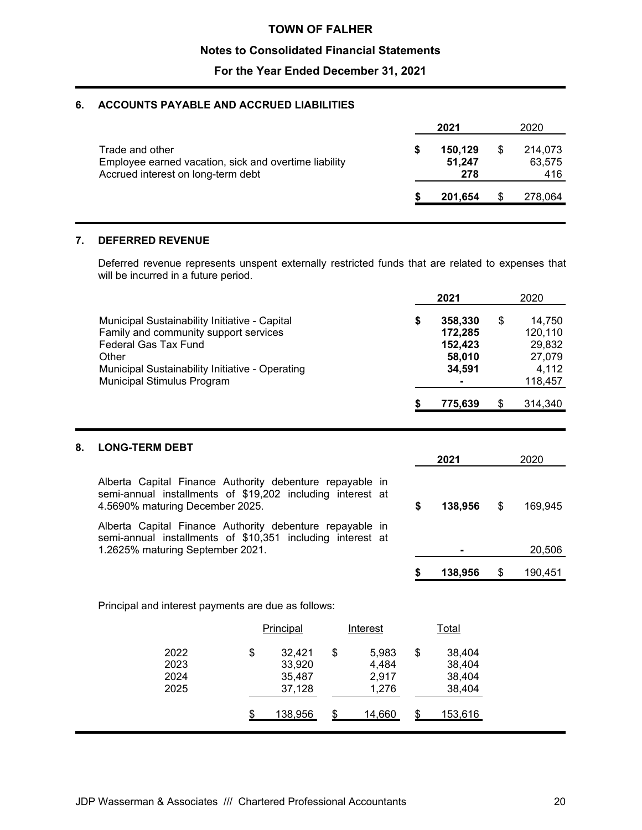#### **Notes to Consolidated Financial Statements**

**For the Year Ended December 31, 2021**

# **6. ACCOUNTS PAYABLE AND ACCRUED LIABILITIES**

|                                                                                                                | 2021 |                          |   | 2020                     |  |  |
|----------------------------------------------------------------------------------------------------------------|------|--------------------------|---|--------------------------|--|--|
| Trade and other<br>Employee earned vacation, sick and overtime liability<br>Accrued interest on long-term debt |      | 150,129<br>51,247<br>278 | S | 214,073<br>63,575<br>416 |  |  |
|                                                                                                                |      | 201.654                  |   | 278,064                  |  |  |

#### **7. DEFERRED REVENUE**

Deferred revenue represents unspent externally restricted funds that are related to expenses that will be incurred in a future period.

|    |                                                                                                                                                                                                                 |    |                                      |               |                                  |               | 2021                                 | 2020          |  |  |    |                                                   |                                                                 |
|----|-----------------------------------------------------------------------------------------------------------------------------------------------------------------------------------------------------------------|----|--------------------------------------|---------------|----------------------------------|---------------|--------------------------------------|---------------|--|--|----|---------------------------------------------------|-----------------------------------------------------------------|
|    | Municipal Sustainability Initiative - Capital<br>Family and community support services<br><b>Federal Gas Tax Fund</b><br>Other<br>Municipal Sustainability Initiative - Operating<br>Municipal Stimulus Program |    |                                      |               |                                  |               |                                      |               |  |  | \$ | 358,330<br>172,285<br>152,423<br>58,010<br>34,591 | \$<br>14,750<br>120,110<br>29,832<br>27,079<br>4,112<br>118,457 |
|    |                                                                                                                                                                                                                 |    |                                      |               |                                  | \$            | 775,639                              | \$<br>314,340 |  |  |    |                                                   |                                                                 |
|    |                                                                                                                                                                                                                 |    |                                      |               |                                  |               |                                      |               |  |  |    |                                                   |                                                                 |
| 8. | <b>LONG-TERM DEBT</b>                                                                                                                                                                                           |    |                                      |               |                                  |               | 2021                                 | 2020          |  |  |    |                                                   |                                                                 |
|    | Alberta Capital Finance Authority debenture repayable in<br>semi-annual installments of \$19,202 including interest at<br>4.5690% maturing December 2025.                                                       |    |                                      |               |                                  | \$            | 138,956                              | \$<br>169,945 |  |  |    |                                                   |                                                                 |
|    | Alberta Capital Finance Authority debenture repayable in<br>semi-annual installments of \$10,351 including interest at<br>1.2625% maturing September 2021.                                                      |    |                                      |               |                                  |               |                                      | 20,506        |  |  |    |                                                   |                                                                 |
|    |                                                                                                                                                                                                                 |    |                                      |               |                                  | S             | 138,956                              | \$<br>190,451 |  |  |    |                                                   |                                                                 |
|    | Principal and interest payments are due as follows:                                                                                                                                                             |    |                                      |               |                                  |               |                                      |               |  |  |    |                                                   |                                                                 |
|    |                                                                                                                                                                                                                 |    | Principal                            |               | Interest                         |               | <b>Total</b>                         |               |  |  |    |                                                   |                                                                 |
|    | 2022<br>2023<br>2024<br>2025                                                                                                                                                                                    | \$ | 32,421<br>33,920<br>35,487<br>37,128 | \$            | 5,983<br>4,484<br>2,917<br>1,276 | \$            | 38,404<br>38,404<br>38,404<br>38,404 |               |  |  |    |                                                   |                                                                 |
|    |                                                                                                                                                                                                                 | \$ | 138,956                              | $\frac{1}{2}$ | 14,660                           | $\frac{1}{2}$ | 153,616                              |               |  |  |    |                                                   |                                                                 |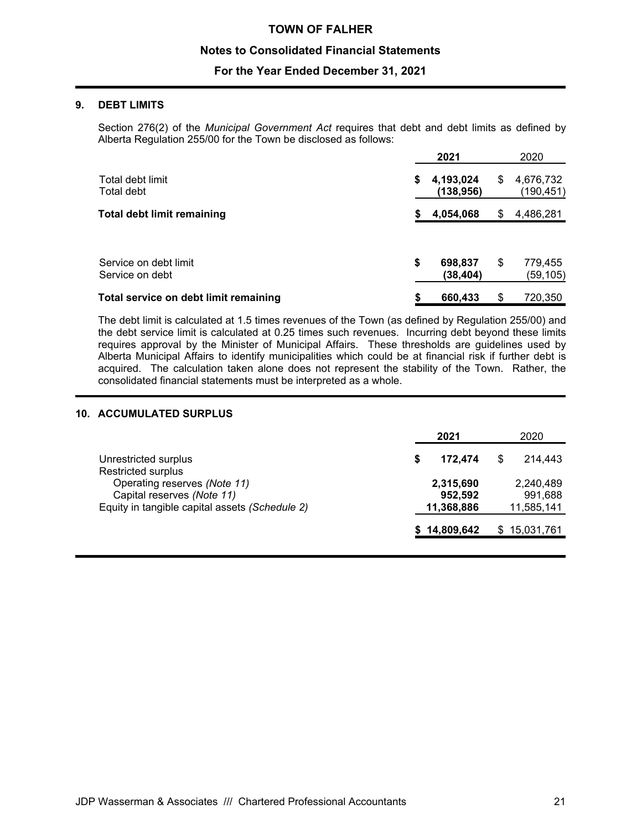### **Notes to Consolidated Financial Statements**

#### **For the Year Ended December 31, 2021**

# **9. DEBT LIMITS**

Section 276(2) of the *Municipal Government Act* requires that debt and debt limits as defined by Alberta Regulation 255/00 for the Town be disclosed as follows:

|                                          |    | 2021                   |    | 2020                   |
|------------------------------------------|----|------------------------|----|------------------------|
| Total debt limit<br>Total debt           | S  | 4,193,024<br>(138,956) | \$ | 4,676,732<br>(190,451) |
| Total debt limit remaining               |    | 4,054,068              | S  | 4,486,281              |
| Service on debt limit<br>Service on debt | \$ | 698,837<br>(38,404)    | \$ | 779,455<br>(59,105)    |
| Total service on debt limit remaining    | S  | 660,433                | \$ | 720,350                |

The debt limit is calculated at 1.5 times revenues of the Town (as defined by Regulation 255/00) and the debt service limit is calculated at 0.25 times such revenues. Incurring debt beyond these limits requires approval by the Minister of Municipal Affairs. These thresholds are guidelines used by Alberta Municipal Affairs to identify municipalities which could be at financial risk if further debt is acquired. The calculation taken alone does not represent the stability of the Town. Rather, the consolidated financial statements must be interpreted as a whole.

#### **10. ACCUMULATED SURPLUS**

|                                                                                                              | 2021                               |   | 2020                               |
|--------------------------------------------------------------------------------------------------------------|------------------------------------|---|------------------------------------|
| Unrestricted surplus<br>Restricted surplus                                                                   | 172.474                            | S | 214.443                            |
| Operating reserves (Note 11)<br>Capital reserves (Note 11)<br>Equity in tangible capital assets (Schedule 2) | 2,315,690<br>952,592<br>11,368,886 |   | 2.240.489<br>991,688<br>11,585,141 |
|                                                                                                              | \$14,809,642                       |   | \$15,031,761                       |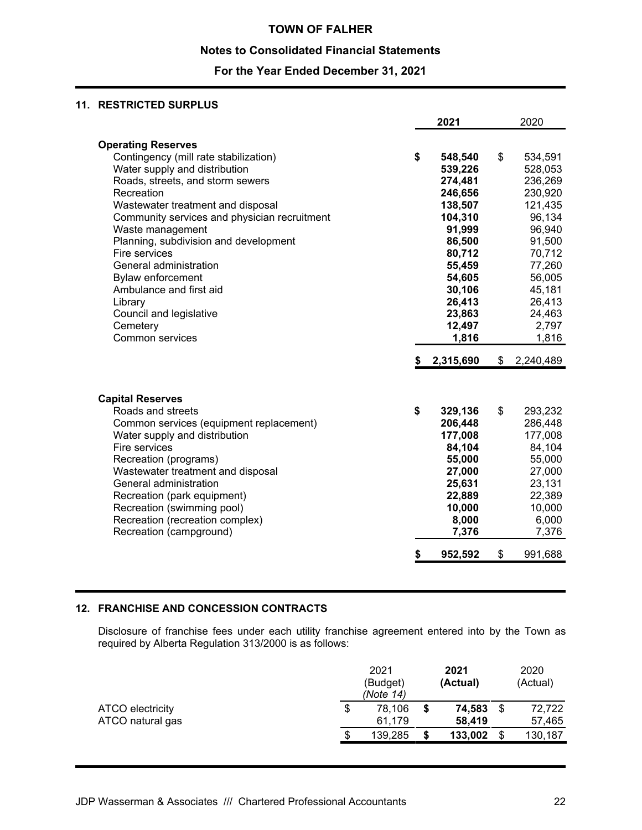#### **Notes to Consolidated Financial Statements**

# **For the Year Ended December 31, 2021**

# **11. RESTRICTED SURPLUS**

|                                              | 2021            | 2020            |
|----------------------------------------------|-----------------|-----------------|
|                                              |                 |                 |
| <b>Operating Reserves</b>                    |                 |                 |
| Contingency (mill rate stabilization)        | \$<br>548,540   | \$<br>534,591   |
| Water supply and distribution                | 539,226         | 528,053         |
| Roads, streets, and storm sewers             | 274,481         | 236,269         |
| Recreation                                   | 246,656         | 230,920         |
| Wastewater treatment and disposal            | 138,507         | 121,435         |
| Community services and physician recruitment | 104,310         | 96,134          |
| Waste management                             | 91,999          | 96,940          |
| Planning, subdivision and development        | 86,500          | 91,500          |
| Fire services                                | 80,712          | 70,712          |
| General administration                       | 55,459          | 77,260          |
| <b>Bylaw enforcement</b>                     | 54,605          | 56,005          |
| Ambulance and first aid                      | 30,106          | 45,181          |
| Library                                      | 26,413          | 26,413          |
| Council and legislative                      | 23,863          | 24,463          |
| Cemetery                                     | 12,497          | 2,797           |
| <b>Common services</b>                       | 1,816           | 1,816           |
|                                              |                 |                 |
|                                              | \$<br>2,315,690 | \$<br>2,240,489 |
|                                              |                 |                 |
|                                              |                 |                 |
| <b>Capital Reserves</b>                      |                 |                 |
| Roads and streets                            | \$<br>329,136   | \$<br>293,232   |
| Common services (equipment replacement)      | 206,448         | 286,448         |
| Water supply and distribution                | 177,008         | 177,008         |
| Fire services                                | 84,104          | 84,104          |
| Recreation (programs)                        | 55,000          | 55,000          |
| Wastewater treatment and disposal            | 27,000          | 27,000          |
| General administration                       | 25,631          | 23,131          |
| Recreation (park equipment)                  | 22,889          | 22,389          |
| Recreation (swimming pool)                   | 10,000          | 10,000          |
| Recreation (recreation complex)              | 8,000           | 6,000           |
| Recreation (campground)                      | 7,376           | 7,376           |
|                                              |                 |                 |
|                                              | 952,592         | \$<br>991,688   |
|                                              |                 |                 |

#### **12. FRANCHISE AND CONCESSION CONTRACTS**

Disclosure of franchise fees under each utility franchise agreement entered into by the Town as required by Alberta Regulation 313/2000 is as follows:

|                                      | 2021<br>(Budget)<br>(Note 14) | 2021<br>(Actual) | 2020<br>(Actual) |
|--------------------------------------|-------------------------------|------------------|------------------|
| ATCO electricity<br>ATCO natural gas | \$<br>78.106<br>61.179        | 74,583<br>58,419 | 72,722<br>57,465 |
|                                      | \$<br>139.285                 | 133,002          | 130,187          |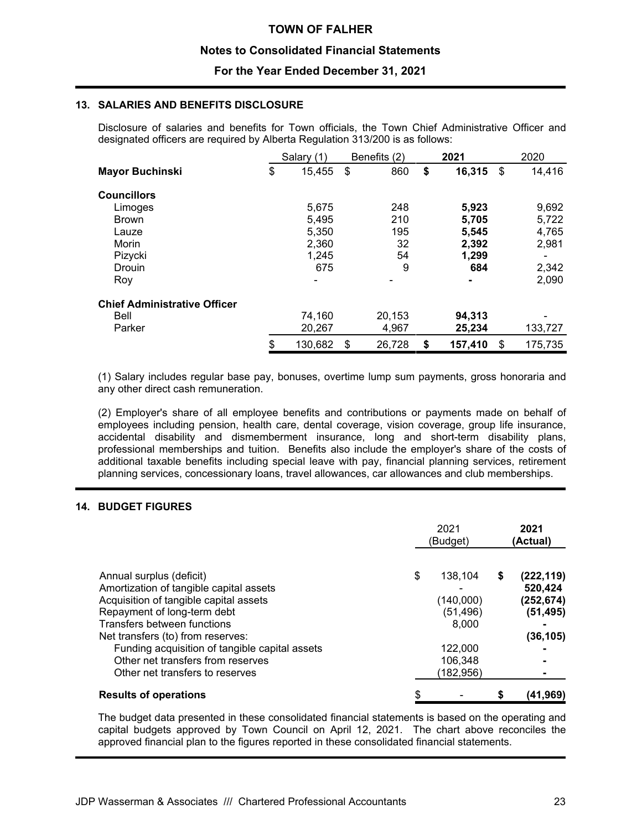## **Notes to Consolidated Financial Statements**

# **For the Year Ended December 31, 2021**

# **13. SALARIES AND BENEFITS DISCLOSURE**

Disclosure of salaries and benefits for Town officials, the Town Chief Administrative Officer and designated officers are required by Alberta Regulation 313/200 is as follows:

|                                     | Salary (1)    | Benefits (2) | 2021          | 2020          |
|-------------------------------------|---------------|--------------|---------------|---------------|
| <b>Mayor Buchinski</b>              | \$<br>15,455  | \$<br>860    | \$<br>16,315  | \$<br>14,416  |
| <b>Councillors</b>                  |               |              |               |               |
| Limoges                             | 5,675         | 248          | 5,923         | 9,692         |
| <b>Brown</b>                        | 5,495         | 210          | 5,705         | 5,722         |
| Lauze                               | 5,350         | 195          | 5,545         | 4,765         |
| Morin                               | 2,360         | 32           | 2,392         | 2,981         |
| Pizycki                             | 1,245         | 54           | 1,299         |               |
| Drouin                              | 675           | 9            | 684           | 2,342         |
| Roy                                 |               |              |               | 2,090         |
| <b>Chief Administrative Officer</b> |               |              |               |               |
| Bell                                | 74.160        | 20,153       | 94,313        |               |
| Parker                              | 20,267        | 4,967        | 25,234        | 133,727       |
|                                     | \$<br>130,682 | \$<br>26,728 | \$<br>157,410 | \$<br>175,735 |

(1) Salary includes regular base pay, bonuses, overtime lump sum payments, gross honoraria and any other direct cash remuneration.

(2) Employer's share of all employee benefits and contributions or payments made on behalf of employees including pension, health care, dental coverage, vision coverage, group life insurance, accidental disability and dismemberment insurance, long and short-term disability plans, professional memberships and tuition. Benefits also include the employer's share of the costs of additional taxable benefits including special leave with pay, financial planning services, retirement planning services, concessionary loans, travel allowances, car allowances and club memberships.

#### **14. BUDGET FIGURES**

|                                                | 2021<br>(Budget) | 2021<br>(Actual) |
|------------------------------------------------|------------------|------------------|
| Annual surplus (deficit)                       | \$<br>138,104    | \$<br>(222, 119) |
| Amortization of tangible capital assets        |                  | 520,424          |
| Acquisition of tangible capital assets         | (140,000)        | (252, 674)       |
| Repayment of long-term debt                    | (51, 496)        | (51, 495)        |
| Transfers between functions                    | 8.000            |                  |
| Net transfers (to) from reserves:              |                  | (36, 105)        |
| Funding acquisition of tangible capital assets | 122,000          |                  |
| Other net transfers from reserves              | 106.348          |                  |
| Other net transfers to reserves                | (182,956)        |                  |
| <b>Results of operations</b>                   |                  | (41,969)         |

The budget data presented in these consolidated financial statements is based on the operating and capital budgets approved by Town Council on April 12, 2021. The chart above reconciles the approved financial plan to the figures reported in these consolidated financial statements.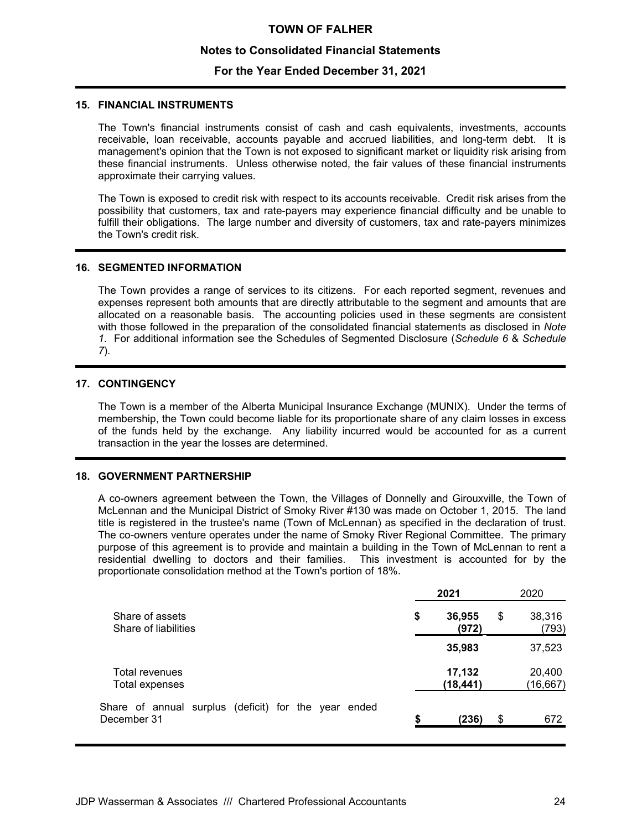#### **Notes to Consolidated Financial Statements**

### **For the Year Ended December 31, 2021**

### **15. FINANCIAL INSTRUMENTS**

The Town's financial instruments consist of cash and cash equivalents, investments, accounts receivable, loan receivable, accounts payable and accrued liabilities, and long-term debt. It is management's opinion that the Town is not exposed to significant market or liquidity risk arising from these financial instruments. Unless otherwise noted, the fair values of these financial instruments approximate their carrying values.

The Town is exposed to credit risk with respect to its accounts receivable. Credit risk arises from the possibility that customers, tax and rate-payers may experience financial difficulty and be unable to fulfill their obligations. The large number and diversity of customers, tax and rate-payers minimizes the Town's credit risk.

#### **16. SEGMENTED INFORMATION**

The Town provides a range of services to its citizens. For each reported segment, revenues and expenses represent both amounts that are directly attributable to the segment and amounts that are allocated on a reasonable basis. The accounting policies used in these segments are consistent with those followed in the preparation of the consolidated financial statements as disclosed in *Note 1*. For additional information see the Schedules of Segmented Disclosure (*Schedule 6* & *Schedule 7*).

#### **17. CONTINGENCY**

The Town is a member of the Alberta Municipal Insurance Exchange (MUNIX). Under the terms of membership, the Town could become liable for its proportionate share of any claim losses in excess of the funds held by the exchange. Any liability incurred would be accounted for as a current transaction in the year the losses are determined.

#### **18. GOVERNMENT PARTNERSHIP**

A co-owners agreement between the Town, the Villages of Donnelly and Girouxville, the Town of McLennan and the Municipal District of Smoky River #130 was made on October 1, 2015. The land title is registered in the trustee's name (Town of McLennan) as specified in the declaration of trust. The co-owners venture operates under the name of Smoky River Regional Committee. The primary purpose of this agreement is to provide and maintain a building in the Town of McLennan to rent a residential dwelling to doctors and their families. This investment is accounted for by the proportionate consolidation method at the Town's portion of 18%.

|                                                                     | 2021 |                     | 2020 |                     |
|---------------------------------------------------------------------|------|---------------------|------|---------------------|
| Share of assets<br>Share of liabilities                             | \$   | 36,955<br>(972)     | \$   | 38,316<br>(793)     |
|                                                                     |      | 35,983              |      | 37,523              |
| Total revenues<br>Total expenses                                    |      | 17,132<br>(18, 441) |      | 20,400<br>(16, 667) |
| Share of annual surplus (deficit) for the year ended<br>December 31 | \$   | (236)               | \$   | 672                 |